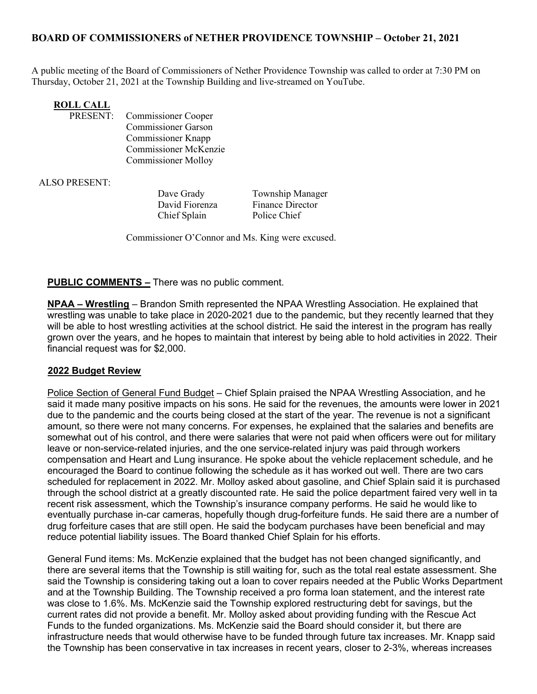## BOARD OF COMMISSIONERS of NETHER PROVIDENCE TOWNSHIP – October 21, 2021

A public meeting of the Board of Commissioners of Nether Providence Township was called to order at 7:30 PM on Thursday, October 21, 2021 at the Township Building and live-streamed on YouTube.

# **ROLL CALL<br>PRESENT:**

Commissioner Cooper Commissioner Garson Commissioner Knapp Commissioner McKenzie Commissioner Molloy

ALSO PRESENT:

Chief Splain Police Chief

Dave Grady Township Manager David Fiorenza Finance Director

Commissioner O'Connor and Ms. King were excused.

### PUBLIC COMMENTS – There was no public comment.

NPAA – Wrestling – Brandon Smith represented the NPAA Wrestling Association. He explained that wrestling was unable to take place in 2020-2021 due to the pandemic, but they recently learned that they will be able to host wrestling activities at the school district. He said the interest in the program has really grown over the years, and he hopes to maintain that interest by being able to hold activities in 2022. Their financial request was for \$2,000.

#### 2022 Budget Review

Police Section of General Fund Budget – Chief Splain praised the NPAA Wrestling Association, and he said it made many positive impacts on his sons. He said for the revenues, the amounts were lower in 2021 due to the pandemic and the courts being closed at the start of the year. The revenue is not a significant amount, so there were not many concerns. For expenses, he explained that the salaries and benefits are somewhat out of his control, and there were salaries that were not paid when officers were out for military leave or non-service-related injuries, and the one service-related injury was paid through workers compensation and Heart and Lung insurance. He spoke about the vehicle replacement schedule, and he encouraged the Board to continue following the schedule as it has worked out well. There are two cars scheduled for replacement in 2022. Mr. Molloy asked about gasoline, and Chief Splain said it is purchased through the school district at a greatly discounted rate. He said the police department faired very well in ta recent risk assessment, which the Township's insurance company performs. He said he would like to eventually purchase in-car cameras, hopefully though drug-forfeiture funds. He said there are a number of drug forfeiture cases that are still open. He said the bodycam purchases have been beneficial and may reduce potential liability issues. The Board thanked Chief Splain for his efforts.

General Fund items: Ms. McKenzie explained that the budget has not been changed significantly, and there are several items that the Township is still waiting for, such as the total real estate assessment. She said the Township is considering taking out a loan to cover repairs needed at the Public Works Department and at the Township Building. The Township received a pro forma loan statement, and the interest rate was close to 1.6%. Ms. McKenzie said the Township explored restructuring debt for savings, but the current rates did not provide a benefit. Mr. Molloy asked about providing funding with the Rescue Act Funds to the funded organizations. Ms. McKenzie said the Board should consider it, but there are infrastructure needs that would otherwise have to be funded through future tax increases. Mr. Knapp said the Township has been conservative in tax increases in recent years, closer to 2-3%, whereas increases